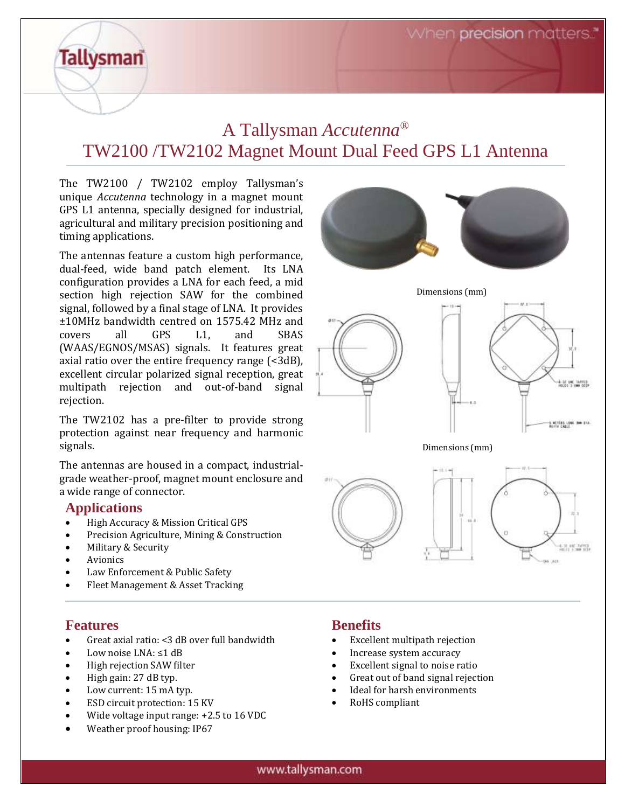## A Tallysman *Accutenna®* TW2100 /TW2102 Magnet Mount Dual Feed GPS L1 Antenna

The TW2100 / TW2102 employ Tallysman's unique *Accutenna* technology in a magnet mount GPS L1 antenna, specially designed for industrial, agricultural and military precision positioning and timing applications.

The antennas feature a custom high performance, dual-feed, wide band patch element. Its LNA configuration provides a LNA for each feed, a mid section high rejection SAW for the combined signal, followed by a final stage of LNA. It provides ±10MHz bandwidth centred on 1575.42 MHz and covers all GPS L1, and SBAS (WAAS/EGNOS/MSAS) signals. It features great axial ratio over the entire frequency range (<3dB), excellent circular polarized signal reception, great multipath rejection and out-of-band signal rejection.

The TW2102 has a pre-filter to provide strong protection against near frequency and harmonic signals.

The antennas are housed in a compact, industrialgrade weather-proof, magnet mount enclosure and a wide range of connector.

#### **Applications**

**Tallysman** 

- High Accuracy & Mission Critical GPS
- Precision Agriculture, Mining & Construction
- Military & Security
- **Avionics**
- Law Enforcement & Public Safety
- Fleet Management & Asset Tracking

#### **Features**

- Great axial ratio: <3 dB over full bandwidth
- Low noise LNA: ≤1 dB
- High rejection SAW filter
- High gain: 27 dB typ.
- Low current: 15 mA typ.
- ESD circuit protection: 15 KV
- Wide voltage input range: +2.5 to 16 VDC
- Weather proof housing: IP67



### **Benefits**

- Excellent multipath rejection
- Increase system accuracy
- Excellent signal to noise ratio
- Great out of band signal rejection
- Ideal for harsh environments
- RoHS compliant